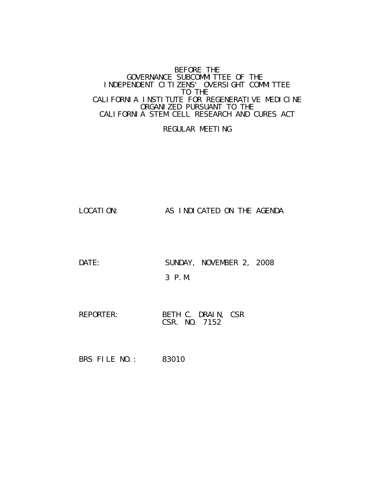#### BEFORE THE GOVERNANCE SUBCOMMITTEE OF THE INDEPENDENT CITIZENS' OVERSIGHT COMMITTEE TO THE CALIFORNIA INSTITUTE FOR REGENERATIVE MEDICINE ORGANIZED PURSUANT TO THE CALIFORNIA STEM CELL RESEARCH AND CURES ACT

## REGULAR MEETING

LOCATION: AS INDICATED ON THE AGENDA

DATE: SUNDAY, NOVEMBER 2, 2008 3 P.M.

REPORTER: BETH C. DRAIN, CSR CSR. NO. 7152

BRS FILE NO.: 83010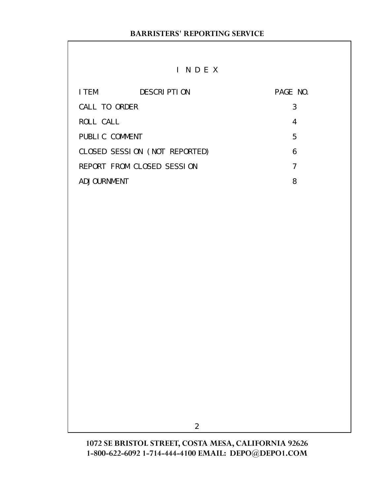# I N D E X

| I TEM          | <b>DESCRIPTION</b>            | PAGE NO. |
|----------------|-------------------------------|----------|
| CALL TO ORDER  |                               | 3        |
| ROLL CALL      |                               | 4        |
| PUBLIC COMMENT |                               | 5        |
|                | CLOSED SESSION (NOT REPORTED) | 6        |
|                | REPORT FROM CLOSED SESSION    | 7        |
| ADJOURNMENT    |                               | 8        |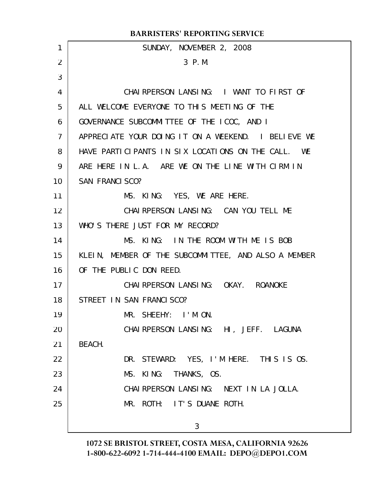| <b>BARRISTERS' REPORTING SERVICE</b> |                                                      |  |
|--------------------------------------|------------------------------------------------------|--|
| $\mathbf{1}$                         | SUNDAY, NOVEMBER 2, 2008                             |  |
| 2                                    | 3 P.M.                                               |  |
| 3                                    |                                                      |  |
| 4                                    | CHAIRPERSON LANSING: I WANT TO FIRST OF              |  |
| 5                                    | ALL WELCOME EVERYONE TO THIS MEETING OF THE          |  |
| 6                                    | GOVERNANCE SUBCOMMITTEE OF THE ICOC, AND I           |  |
| $\overline{7}$                       | APPRECIATE YOUR DOING IT ON A WEEKEND. I BELIEVE WE  |  |
| 8                                    | HAVE PARTICIPANTS IN SIX LOCATIONS ON THE CALL. WE   |  |
| 9                                    | ARE HERE IN L.A. ARE WE ON THE LINE WITH CIRM IN     |  |
| 10                                   | <b>SAN FRANCI SCO?</b>                               |  |
| 11                                   | MS. KING: YES, WE ARE HERE.                          |  |
| 12                                   | CHAIRPERSON LANSING: CAN YOU TELL ME                 |  |
| 13                                   | WHO'S THERE JUST FOR MY RECORD?                      |  |
| 14                                   | MS. KING: IN THE ROOM WITH ME IS BOB                 |  |
| 15                                   | KLEIN, MEMBER OF THE SUBCOMMITTEE, AND ALSO A MEMBER |  |
| 16                                   | OF THE PUBLIC DON REED.                              |  |
| 17                                   | CHAI RPERSON LANSING: OKAY. ROANOKE                  |  |
| 18                                   | STREET IN SAN FRANCISCO?                             |  |
| 19                                   | MR. SHEEHY: I'M ON.                                  |  |
| 20                                   | CHAI RPERSON LANSING: HI, JEFF. LAGUNA               |  |
| 21                                   | BEACH.                                               |  |
| 22                                   | DR. STEWARD: YES, I'M HERE. THIS IS OS.              |  |
| 23                                   | MS. KING: THANKS, OS.                                |  |
| 24                                   | CHAI RPERSON LANSING: NEXT IN LA JOLLA.              |  |
| 25                                   | MR. ROTH: IT'S DUANE ROTH.                           |  |
|                                      |                                                      |  |
|                                      | 3                                                    |  |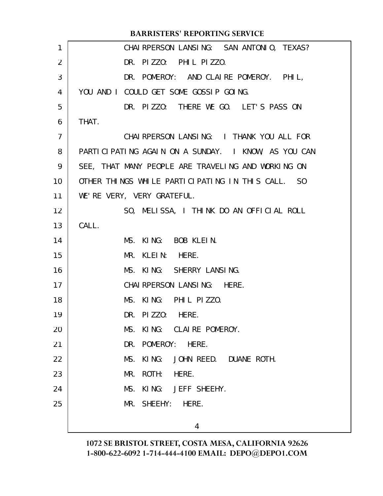|                | <b>BARRISTERS' REPORTING SERVICE</b>                |
|----------------|-----------------------------------------------------|
| 1              | CHAI RPERSON LANSING: SAN ANTONIO, TEXAS?           |
| 2              | DR. PIZZO: PHIL PIZZO.                              |
| 3              | DR. POMEROY: AND CLAIRE POMEROY. PHIL,              |
| 4              | YOU AND I COULD GET SOME GOSSIP GOING.              |
| 5              | DR. PIZZO: THERE WE GO. LET'S PASS ON               |
| 6              | THAT.                                               |
| $\overline{7}$ | CHAI RPERSON LANSING: I THANK YOU ALL FOR           |
| 8              | PARTICIPATING AGAIN ON A SUNDAY. I KNOW, AS YOU CAN |
| 9              | SEE, THAT MANY PEOPLE ARE TRAVELING AND WORKING ON  |
| 10             | OTHER THINGS WHILE PARTICIPATING IN THIS CALL. SO   |
| 11             | WE'RE VERY, VERY GRATEFUL.                          |
| 12             | SO, MELISSA, I THINK DO AN OFFICIAL ROLL            |
| 13             | CALL.                                               |
| 14             | MS. KING: BOB KLEIN.                                |
| 15             | MR. KLEIN: HERE.                                    |
| 16             | MS. KING: SHERRY LANSING.                           |
| 17             | CHAI RPERSON LANSING: HERE.                         |
| 18             | MS. KING: PHIL PIZZO.                               |
| 19             | DR. PI ZZ0:<br>HERE.                                |
| 20             | KING: CLAIRE POMEROY.<br>MS.                        |
| 21             | DR. POMEROY: HERE.                                  |
| 22             | KI NG:<br>JOHN REED. DUANE ROTH.<br>MS.             |
| 23             | ROTH: HERE.<br>MR.                                  |
| 24             | KING: JEFF SHEEHY.<br>MS.                           |
| 25             | MR. SHEEHY: HERE.                                   |
|                | 4                                                   |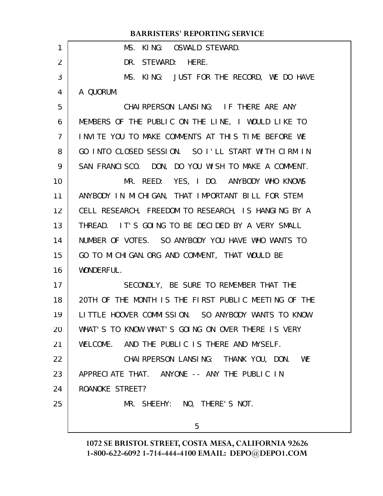### **BARRISTERS' REPORTING SERVICE**

| 1              | MS. KING: OSWALD STEWARD.                            |
|----------------|------------------------------------------------------|
| $\overline{2}$ | DR. STEWARD: HERE.                                   |
| 3              | MS. KING: JUST FOR THE RECORD, WE DO HAVE            |
| 4              | A QUORUM.                                            |
| 5              | CHAI RPERSON LANSING: IF THERE ARE ANY               |
| 6              | MEMBERS OF THE PUBLIC ON THE LINE, I WOULD LIKE TO   |
| $\overline{7}$ | INVITE YOU TO MAKE COMMENTS AT THIS TIME BEFORE WE   |
| 8              | GO INTO CLOSED SESSION. SO I'LL START WITH CIRM IN   |
| 9              | SAN FRANCISCO. DON, DO YOU WISH TO MAKE A COMMENT.   |
| 10             | MR. REED: YES, I DO. ANYBODY WHO KNOWS               |
| 11             | ANYBODY IN MICHIGAN, THAT IMPORTANT BILL FOR STEM    |
| 12             | CELL RESEARCH, FREEDOM TO RESEARCH, IS HANGING BY A  |
| 13             | THREAD. IT'S GOING TO BE DECIDED BY A VERY SMALL     |
| 14             | NUMBER OF VOTES. SO ANYBODY YOU HAVE WHO WANTS TO    |
| 15             | GO TO MICHIGAN. ORG AND COMMENT, THAT WOULD BE       |
| 16             | WONDERFUL.                                           |
| 17             | SECONDLY, BE SURE TO REMEMBER THAT THE               |
| 18             | 20TH OF THE MONTH IS THE FIRST PUBLIC MEETING OF THE |
| 19             | LITTLE HOOVER COMMISSION. SO ANYBODY WANTS TO KNOW   |
| 20             | WHAT'S TO KNOW WHAT'S GOING ON OVER THERE IS VERY    |
| 21             | WELCOME. AND THE PUBLIC IS THERE AND MYSELF.         |
| 22             | CHAI RPERSON LANSING: THANK YOU, DON. WE             |
| 23             | APPRECIATE THAT. ANYONE -- ANY THE PUBLIC IN         |
| 24             | ROANOKE STREET?                                      |
| 25             | MR. SHEEHY: NO, THERE'S NOT.                         |
|                | 5                                                    |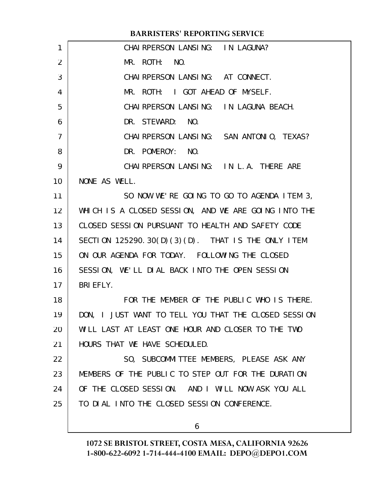|                 | <b>BARRISTERS' REPORTING SERVICE</b>                 |
|-----------------|------------------------------------------------------|
| 1               | CHAI RPERSON LANSING: IN LAGUNA?                     |
| $\overline{2}$  | MR. ROTH: NO.                                        |
| 3               | CHAI RPERSON LANSING: AT CONNECT.                    |
| 4               | MR. ROTH: I GOT AHEAD OF MYSELF.                     |
| 5               | CHAI RPERSON LANSING: IN LAGUNA BEACH.               |
| 6               | DR. STEWARD: NO.                                     |
| $\overline{7}$  | CHAI RPERSON LANSING: SAN ANTONIO, TEXAS?            |
| 8               | DR. POMEROY: NO.                                     |
| 9               | CHAI RPERSON LANSING: IN L.A. THERE ARE              |
| 10 <sup>°</sup> | NONE AS WELL.                                        |
| 11              | SO NOW WE'RE GOING TO GO TO AGENDA ITEM 3,           |
| 12 <sup>2</sup> | WHICH IS A CLOSED SESSION, AND WE ARE GOING INTO THE |
| 13              | CLOSED SESSION PURSUANT TO HEALTH AND SAFETY CODE    |
| 14              | SECTION 125290.30(D)(3)(D). THAT IS THE ONLY ITEM    |
| 15              | ON OUR AGENDA FOR TODAY. FOLLOWING THE CLOSED        |
| 16              | SESSION, WE'LL DIAL BACK INTO THE OPEN SESSION       |
| 17              | <b>BRI EFLY.</b>                                     |
| 18              | FOR THE MEMBER OF THE PUBLIC WHO IS THERE.           |
| 19              | DON, I JUST WANT TO TELL YOU THAT THE CLOSED SESSION |
| 20              | WILL LAST AT LEAST ONE HOUR AND CLOSER TO THE TWO    |
| 21              | HOURS THAT WE HAVE SCHEDULED.                        |
| 22              | SO, SUBCOMMITTEE MEMBERS, PLEASE ASK ANY             |
| 23              | MEMBERS OF THE PUBLIC TO STEP OUT FOR THE DURATION   |
| 24              | OF THE CLOSED SESSION. AND I WILL NOW ASK YOU ALL    |
| 25              | TO DIAL INTO THE CLOSED SESSION CONFERENCE.          |
|                 |                                                      |

6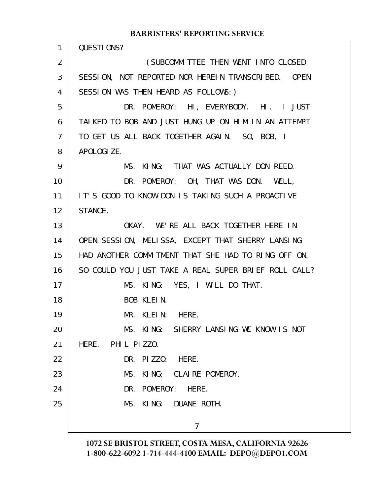## **BARRISTERS' REPORTING SERVICE**

| 1              | QUESTIONS?                                           |
|----------------|------------------------------------------------------|
| 2              | (SUBCOMMITTEE THEN WENT INTO CLOSED                  |
| 3              | SESSION, NOT REPORTED NOR HEREIN TRANSCRIBED. OPEN   |
| 4              | SESSION WAS THEN HEARD AS FOLLOWS: )                 |
| 5              | DR. POMEROY: HI, EVERYBODY. HI. I JUST               |
| 6              | TALKED TO BOB AND JUST HUNG UP ON HIM IN AN ATTEMPT  |
| $\overline{7}$ | TO GET US ALL BACK TOGETHER AGAIN. SO, BOB, I        |
| 8              | APOLOGI ZE.                                          |
| 9              | MS. KING: THAT WAS ACTUALLY DON REED.                |
| 10             | DR. POMEROY: OH, THAT WAS DON. WELL,                 |
| 11             | IT'S GOOD TO KNOW DON IS TAKING SUCH A PROACTIVE     |
| 12             | STANCE.                                              |
| 13             | OKAY. WE'RE ALL BACK TOGETHER HERE IN                |
| 14             | OPEN SESSION, MELISSA, EXCEPT THAT SHERRY LANSING    |
| 15             | HAD ANOTHER COMMITMENT THAT SHE HAD TO RING OFF ON.  |
| 16             | SO COULD YOU JUST TAKE A REAL SUPER BRIEF ROLL CALL? |
| 17             | MS. KING: YES, I WILL DO THAT.                       |
| 18             | BOB KLEIN.                                           |
| 19             | MR. KLEIN: HERE.                                     |
| 20             | MS. KING: SHERRY LANSING WE KNOW IS NOT              |
| 21             | HERE. PHIL PIZZO.                                    |
| 22             | DR. PIZZO: HERE.                                     |
| 23             | KING: CLAIRE POMEROY.<br>MS.                         |
| 24             | DR. POMEROY: HERE.                                   |
| 25             | MS. KING:<br>DUANE ROTH.                             |
|                | 7                                                    |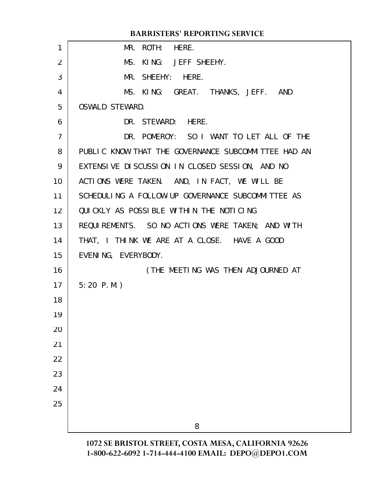## **BARRISTERS' REPORTING SERVICE**

| $\mathbf{1}$    | MR. ROTH: HERE.                                     |
|-----------------|-----------------------------------------------------|
| $\overline{2}$  | MS. KING: JEFF SHEEHY.                              |
| 3               | MR. SHEEHY: HERE.                                   |
| 4               | MS. KING: GREAT. THANKS, JEFF. AND                  |
| 5               | <b>OSWALD STEWARD.</b>                              |
| 6               | DR. STEWARD: HERE.                                  |
| $\overline{7}$  | DR. POMEROY: SO I WANT TO LET ALL OF THE            |
| 8               | PUBLIC KNOW THAT THE GOVERNANCE SUBCOMMITTEE HAD AN |
| 9               | EXTENSIVE DISCUSSION IN CLOSED SESSION, AND NO      |
| 10 <sup>°</sup> | ACTIONS WERE TAKEN. AND, IN FACT, WE WILL BE        |
| 11              | SCHEDULING A FOLLOW-UP GOVERNANCE SUBCOMMITTEE AS   |
| 12 <sup>2</sup> | QUICKLY AS POSSIBLE WITHIN THE NOTICING             |
| 13              | REQUIREMENTS. SO NO ACTIONS WERE TAKEN; AND WITH    |
| 14              | THAT, I THINK WE ARE AT A CLOSE. HAVE A GOOD        |
| 15              | EVENING, EVERYBODY.                                 |
| 16              | (THE MEETING WAS THEN ADJOURNED AT                  |
| 17              | $5:20$ P.M.)                                        |
| 18              |                                                     |
| 19              |                                                     |
| 20              |                                                     |
| 21              |                                                     |
| 22              |                                                     |
| 23              |                                                     |
| 24              |                                                     |
| 25              |                                                     |
|                 | 8                                                   |
|                 |                                                     |